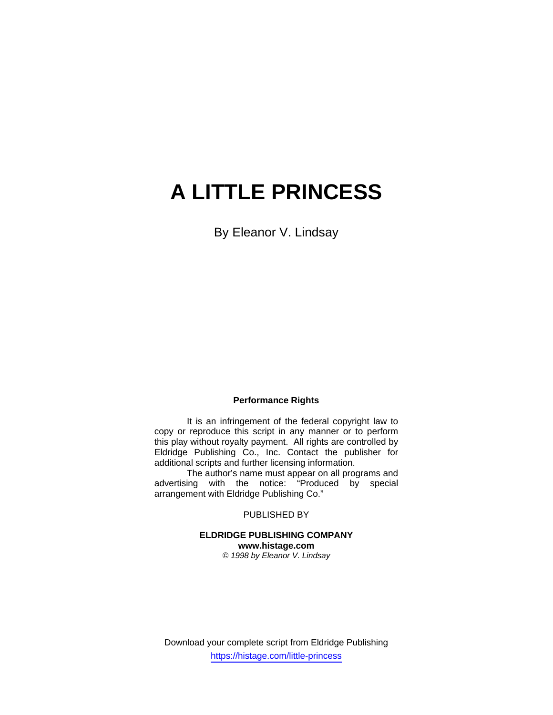# **A LITTLE PRINCESS**

By Eleanor V. Lindsay

#### **Performance Rights**

 It is an infringement of the federal copyright law to copy or reproduce this script in any manner or to perform this play without royalty payment. All rights are controlled by Eldridge Publishing Co., Inc. Contact the publisher for additional scripts and further licensing information.

 The author's name must appear on all programs and advertising with the notice: "Produced by special arrangement with Eldridge Publishing Co."

PUBLISHED BY

**ELDRIDGE PUBLISHING COMPANY www.histage.com**  *© 1998 by Eleanor V. Lindsay* 

Download your complete script from Eldridge Publishing https://histage.com/little-princess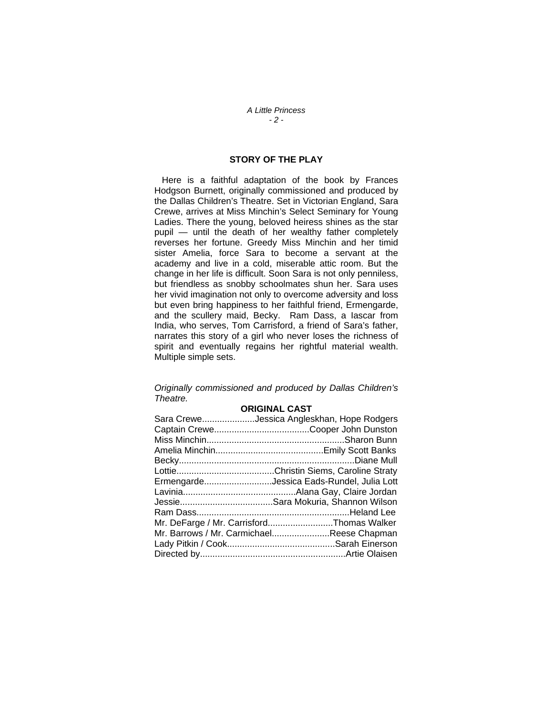#### *A Little Princess - 2 -*

### **STORY OF THE PLAY**

 Here is a faithful adaptation of the book by Frances Hodgson Burnett, originally commissioned and produced by the Dallas Children's Theatre. Set in Victorian England, Sara Crewe, arrives at Miss Minchin's Select Seminary for Young Ladies. There the young, beloved heiress shines as the star pupil — until the death of her wealthy father completely reverses her fortune. Greedy Miss Minchin and her timid sister Amelia, force Sara to become a servant at the academy and live in a cold, miserable attic room. But the change in her life is difficult. Soon Sara is not only penniless, but friendless as snobby schoolmates shun her. Sara uses her vivid imagination not only to overcome adversity and loss but even bring happiness to her faithful friend, Ermengarde, and the scullery maid, Becky. Ram Dass, a Iascar from India, who serves, Tom Carrisford, a friend of Sara's father, narrates this story of a girl who never loses the richness of spirit and eventually regains her rightful material wealth. Multiple simple sets.

#### *Originally commissioned and produced by Dallas Children's Theatre.*

#### **ORIGINAL CAST**

| Sara CreweJessica Angleskhan, Hope Rodgers |
|--------------------------------------------|
|                                            |
|                                            |
|                                            |
|                                            |
|                                            |
| ErmengardeJessica Eads-Rundel, Julia Lott  |
|                                            |
|                                            |
|                                            |
| Mr. DeFarge / Mr. CarrisfordThomas Walker  |
| Mr. Barrows / Mr. CarmichaelReese Chapman  |
|                                            |
|                                            |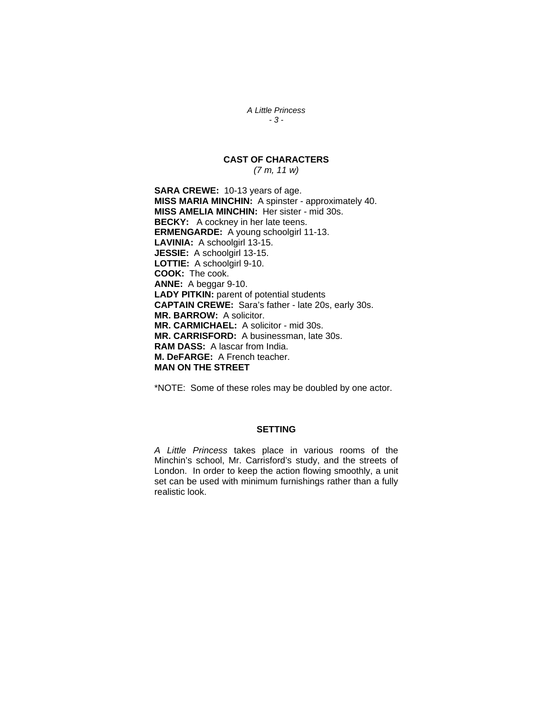*A Little Princess - 3 -* 

## **CAST OF CHARACTERS**

*(7 m, 11 w)* 

**SARA CREWE:** 10-13 years of age. **MISS MARIA MINCHIN:** A spinster - approximately 40. **MISS AMELIA MINCHIN:** Her sister - mid 30s. **BECKY:** A cockney in her late teens. **ERMENGARDE:** A young schoolgirl 11-13. **LAVINIA:** A schoolgirl 13-15. **JESSIE:** A schoolgirl 13-15. **LOTTIE:** A schoolgirl 9-10. **COOK:** The cook. **ANNE:** A beggar 9-10. **LADY PITKIN:** parent of potential students **CAPTAIN CREWE:** Sara's father - late 20s, early 30s. **MR. BARROW:** A solicitor. **MR. CARMICHAEL:** A solicitor - mid 30s. **MR. CARRISFORD:** A businessman, late 30s. **RAM DASS:** A lascar from India. **M. DeFARGE:** A French teacher. **MAN ON THE STREET**

\*NOTE: Some of these roles may be doubled by one actor.

#### **SETTING**

*A Little Princess* takes place in various rooms of the Minchin's school, Mr. Carrisford's study, and the streets of London. In order to keep the action flowing smoothly, a unit set can be used with minimum furnishings rather than a fully realistic look.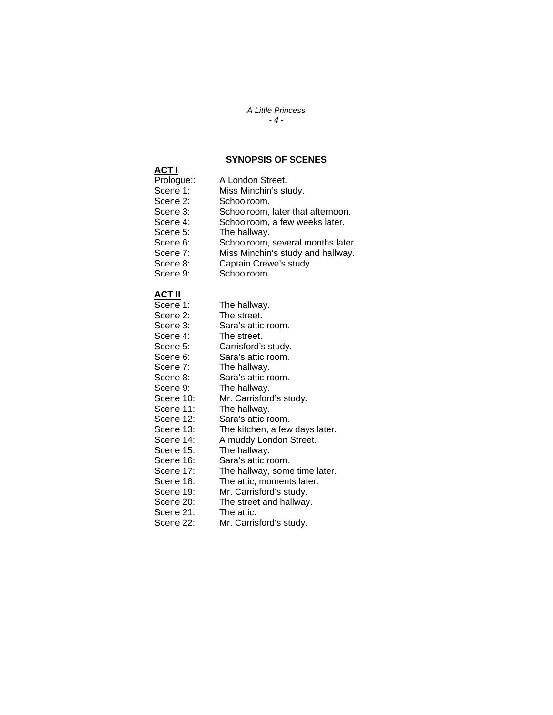#### *A Little Princess - 4 -*

#### **SYNOPSIS OF SCENES**

## **ACT I**

- A London Street.
- Scene 1: Miss Minchin's study.
- Scene 2: Schoolroom.<br>Scene 3: Schoolroom.
	- Schoolroom, later that afternoon.
- Scene 4: Schoolroom, a few weeks later.
- Scene 5: The hallway.
- Scene 6: Schoolroom, several months later.
- Scene 7: Miss Minchin's study and hallway.
- Scene 8: Captain Crewe's study.
- Scene 9: Schoolroom.

## **ACT II**

- The hallway.
- Scene 2: The street.
- Scene 3: Sara's attic room.
- Scene 4: The street.
- Scene 5: Carrisford's study.
- Scene 6: Sara's attic room.
- Scene 7: The hallway.<br>Scene 8: Sara's attic re
	- Sara's attic room.
- Scene 9: The hallway.
- Scene 10: Mr. Carrisford's study.<br>Scene 11: The hallway.
	- The hallway.
- Scene 12: Sara's attic room.
- Scene 13: The kitchen, a few days later.
- Scene 14: A muddy London Street.
- Scene 15: The hallway.
- Scene 16: Sara's attic room.
- Scene 17: The hallway, some time later.
- Scene 18: The attic, moments later.<br>Scene 19: Mr. Carrisford's study.
	-
- Scene 19: Mr. Carrisford's study.<br>Scene 20: The street and hallway The street and hallway.
	-
- Scene 21: The attic.<br>Scene 22: Mr. Carris Mr. Carrisford's study.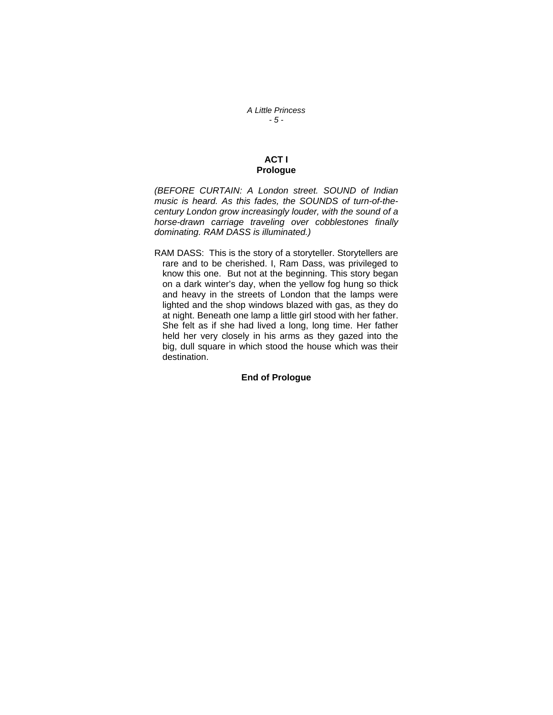*A Little Princess - 5 -* 

### **ACT I Prologue**

*(BEFORE CURTAIN: A London street. SOUND of Indian music is heard. As this fades, the SOUNDS of turn-of-thecentury London grow increasingly louder, with the sound of a horse-drawn carriage traveling over cobblestones finally dominating. RAM DASS is illuminated.)* 

RAM DASS: This is the story of a storyteller. Storytellers are rare and to be cherished. I, Ram Dass, was privileged to know this one. But not at the beginning. This story began on a dark winter's day, when the yellow fog hung so thick and heavy in the streets of London that the lamps were lighted and the shop windows blazed with gas, as they do at night. Beneath one lamp a little girl stood with her father. She felt as if she had lived a long, long time. Her father held her very closely in his arms as they gazed into the big, dull square in which stood the house which was their destination.

#### **End of Prologue**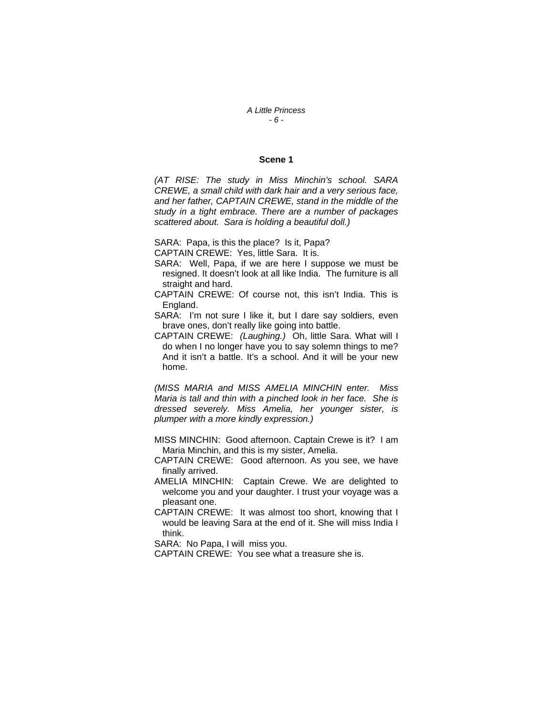*A Little Princess - 6 -* 

#### **Scene 1**

*(AT RISE: The study in Miss Minchin's school. SARA CREWE, a small child with dark hair and a very serious face, and her father, CAPTAIN CREWE, stand in the middle of the study in a tight embrace. There are a number of packages scattered about. Sara is holding a beautiful doll.)* 

SARA: Papa, is this the place? Is it, Papa?

CAPTAIN CREWE: Yes, little Sara. It is.

- SARA: Well, Papa, if we are here I suppose we must be resigned. It doesn't look at all like India. The furniture is all straight and hard.
- CAPTAIN CREWE: Of course not, this isn't India. This is England.

SARA: I'm not sure I like it, but I dare say soldiers, even brave ones, don't really like going into battle.

CAPTAIN CREWE: *(Laughing.)* Oh, little Sara. What will I do when I no longer have you to say solemn things to me? And it isn't a battle. It's a school. And it will be your new home.

*(MISS MARIA and MISS AMELIA MINCHIN enter. Miss Maria is tall and thin with a pinched look in her face. She is dressed severely. Miss Amelia, her younger sister, is plumper with a more kindly expression.)*

- MISS MINCHIN: Good afternoon. Captain Crewe is it? I am Maria Minchin, and this is my sister, Amelia.
- CAPTAIN CREWE: Good afternoon. As you see, we have finally arrived.
- AMELIA MINCHIN: Captain Crewe. We are delighted to welcome you and your daughter. I trust your voyage was a pleasant one.
- CAPTAIN CREWE: It was almost too short, knowing that I would be leaving Sara at the end of it. She will miss India I think.

SARA: No Papa, I will miss you.

CAPTAIN CREWE: You see what a treasure she is.